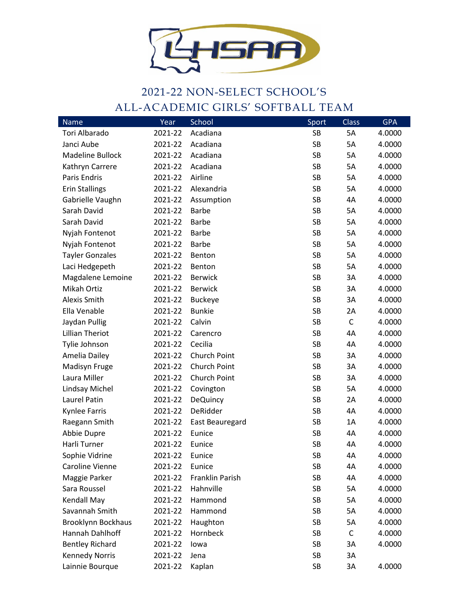

## 2021-22 NON-SELECT SCHOOL'S ALL-ACADEMIC GIRLS' SOFTBALL TEAM

| Name                      | Year    | <b>School</b>          | Sport     | Class        | <b>GPA</b> |
|---------------------------|---------|------------------------|-----------|--------------|------------|
| Tori Albarado             | 2021-22 | Acadiana               | SB        | 5A           | 4.0000     |
| Janci Aube                | 2021-22 | Acadiana               | SB        | 5A           | 4.0000     |
| Madeline Bullock          | 2021-22 | Acadiana               | <b>SB</b> | 5A           | 4.0000     |
| Kathryn Carrere           | 2021-22 | Acadiana               | SB        | 5A           | 4.0000     |
| Paris Endris              | 2021-22 | Airline                | <b>SB</b> | 5A           | 4.0000     |
| <b>Erin Stallings</b>     | 2021-22 | Alexandria             | SB        | 5A           | 4.0000     |
| Gabrielle Vaughn          | 2021-22 | Assumption             | <b>SB</b> | 4A           | 4.0000     |
| Sarah David               | 2021-22 | <b>Barbe</b>           | <b>SB</b> | 5A           | 4.0000     |
| Sarah David               | 2021-22 | <b>Barbe</b>           | <b>SB</b> | 5A           | 4.0000     |
| Nyjah Fontenot            | 2021-22 | <b>Barbe</b>           | <b>SB</b> | 5A           | 4.0000     |
| Nyjah Fontenot            | 2021-22 | <b>Barbe</b>           | <b>SB</b> | 5A           | 4.0000     |
| <b>Tayler Gonzales</b>    | 2021-22 | Benton                 | <b>SB</b> | 5A           | 4.0000     |
| Laci Hedgepeth            | 2021-22 | Benton                 | <b>SB</b> | 5A           | 4.0000     |
| Magdalene Lemoine         | 2021-22 | <b>Berwick</b>         | <b>SB</b> | 3A           | 4.0000     |
| Mikah Ortiz               | 2021-22 | <b>Berwick</b>         | <b>SB</b> | 3A           | 4.0000     |
| <b>Alexis Smith</b>       | 2021-22 | <b>Buckeye</b>         | <b>SB</b> | 3A           | 4.0000     |
| Ella Venable              | 2021-22 | <b>Bunkie</b>          | <b>SB</b> | 2A           | 4.0000     |
| Jaydan Pullig             | 2021-22 | Calvin                 | <b>SB</b> | $\mathsf{C}$ | 4.0000     |
| <b>Lillian Theriot</b>    | 2021-22 | Carencro               | <b>SB</b> | 4A           | 4.0000     |
| Tylie Johnson             | 2021-22 | Cecilia                | <b>SB</b> | 4A           | 4.0000     |
| Amelia Dailey             | 2021-22 | Church Point           | <b>SB</b> | 3A           | 4.0000     |
| Madisyn Fruge             | 2021-22 | Church Point           | <b>SB</b> | 3A           | 4.0000     |
| Laura Miller              | 2021-22 | Church Point           | <b>SB</b> | 3A           | 4.0000     |
| Lindsay Michel            | 2021-22 | Covington              | <b>SB</b> | 5A           | 4.0000     |
| Laurel Patin              | 2021-22 | <b>DeQuincy</b>        | <b>SB</b> | 2A           | 4.0000     |
| Kynlee Farris             | 2021-22 | DeRidder               | <b>SB</b> | 4A           | 4.0000     |
| Raegann Smith             | 2021-22 | <b>East Beauregard</b> | <b>SB</b> | 1A           | 4.0000     |
| Abbie Dupre               | 2021-22 | Eunice                 | SB        | 4A           | 4.0000     |
| Harli Turner              | 2021-22 | Eunice                 | <b>SB</b> | 4A           | 4.0000     |
| Sophie Vidrine            | 2021-22 | Eunice                 | <b>SB</b> | 4A           | 4.0000     |
| Caroline Vienne           | 2021-22 | Eunice                 | <b>SB</b> | 4A           | 4.0000     |
| Maggie Parker             | 2021-22 | Franklin Parish        | <b>SB</b> | 4A           | 4.0000     |
| Sara Roussel              | 2021-22 | Hahnville              | SB        | 5A           | 4.0000     |
| Kendall May               | 2021-22 | Hammond                | <b>SB</b> | 5A           | 4.0000     |
| Savannah Smith            | 2021-22 | Hammond                | SB        | 5A           | 4.0000     |
| <b>Brooklynn Bockhaus</b> | 2021-22 | Haughton               | <b>SB</b> | 5A           | 4.0000     |
| Hannah Dahlhoff           | 2021-22 | Hornbeck               | SB        | $\mathsf C$  | 4.0000     |
| <b>Bentley Richard</b>    | 2021-22 | lowa                   | <b>SB</b> | 3A           | 4.0000     |
| <b>Kennedy Norris</b>     | 2021-22 | Jena                   | <b>SB</b> | 3A           |            |
| Lainnie Bourque           | 2021-22 | Kaplan                 | SB        | 3A           | 4.0000     |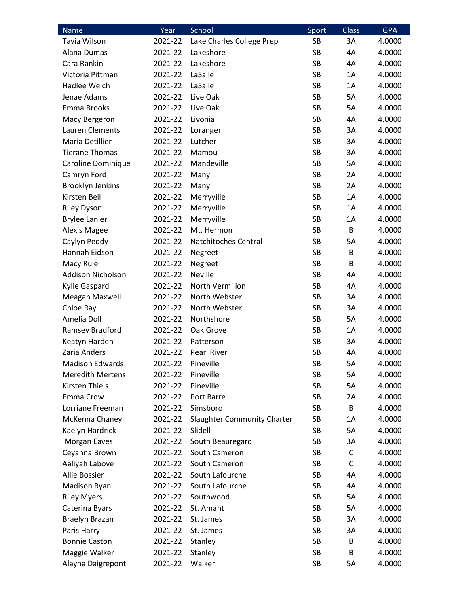| Name                     | Year    | School                             | Sport     | <b>Class</b> | <b>GPA</b> |
|--------------------------|---------|------------------------------------|-----------|--------------|------------|
| Tavia Wilson             | 2021-22 | Lake Charles College Prep          | SB        | 3A           | 4.0000     |
| Alana Dumas              | 2021-22 | Lakeshore                          | <b>SB</b> | 4A           | 4.0000     |
| Cara Rankin              | 2021-22 | Lakeshore                          | <b>SB</b> | 4A           | 4.0000     |
| Victoria Pittman         | 2021-22 | LaSalle                            | SB        | 1A           | 4.0000     |
| Hadlee Welch             | 2021-22 | LaSalle                            | SB        | 1A           | 4.0000     |
| Jenae Adams              | 2021-22 | Live Oak                           | <b>SB</b> | 5A           | 4.0000     |
| Emma Brooks              | 2021-22 | Live Oak                           | <b>SB</b> | 5A           | 4.0000     |
| Macy Bergeron            | 2021-22 | Livonia                            | <b>SB</b> | 4A           | 4.0000     |
| Lauren Clements          | 2021-22 | Loranger                           | SB        | 3A           | 4.0000     |
| Maria Detillier          | 2021-22 | Lutcher                            | SB        | 3A           | 4.0000     |
| <b>Tierane Thomas</b>    | 2021-22 | Mamou                              | SB        | 3A           | 4.0000     |
| Caroline Dominique       | 2021-22 | Mandeville                         | <b>SB</b> | 5A           | 4.0000     |
| Camryn Ford              | 2021-22 | Many                               | SB        | 2A           | 4.0000     |
| <b>Brooklyn Jenkins</b>  | 2021-22 | Many                               | SB        | 2A           | 4.0000     |
| Kirsten Bell             | 2021-22 | Merryville                         | <b>SB</b> | 1A           | 4.0000     |
| <b>Riley Dyson</b>       | 2021-22 | Merryville                         | SB        | 1A           | 4.0000     |
| <b>Brylee Lanier</b>     | 2021-22 | Merryville                         | <b>SB</b> | 1A           | 4.0000     |
| <b>Alexis Magee</b>      | 2021-22 | Mt. Hermon                         | SB        | B            | 4.0000     |
| Caylyn Peddy             | 2021-22 | Natchitoches Central               | SB        | 5A           | 4.0000     |
| Hannah Eidson            | 2021-22 | Negreet                            | <b>SB</b> | B            | 4.0000     |
| Macy Rule                | 2021-22 | Negreet                            | SB        | B            | 4.0000     |
| <b>Addison Nicholson</b> | 2021-22 | <b>Neville</b>                     | SB        | 4A           | 4.0000     |
| Kylie Gaspard            | 2021-22 | North Vermilion                    | SB        | 4A           | 4.0000     |
| Meagan Maxwell           | 2021-22 | North Webster                      | SB        | 3A           | 4.0000     |
| Chloe Ray                | 2021-22 | North Webster                      | SB        | 3A           | 4.0000     |
| Amelia Doll              | 2021-22 | Northshore                         | SB        | 5A           | 4.0000     |
| Ramsey Bradford          | 2021-22 | Oak Grove                          | <b>SB</b> | 1A           | 4.0000     |
| Keatyn Harden            | 2021-22 | Patterson                          | SB        | 3A           | 4.0000     |
| Zaria Anders             | 2021-22 | <b>Pearl River</b>                 | SB        | 4A           | 4.0000     |
| <b>Madison Edwards</b>   | 2021-22 | Pineville                          | <b>SB</b> | 5A           | 4.0000     |
| <b>Meredith Mertens</b>  | 2021-22 | Pineville                          | SB        | 5A           | 4.0000     |
| Kirsten Thiels           | 2021-22 | Pineville                          | <b>SB</b> | 5A           | 4.0000     |
| Emma Crow                | 2021-22 | Port Barre                         | SB        | 2A           | 4.0000     |
| Lorriane Freeman         | 2021-22 | Simsboro                           | SB        | B            | 4.0000     |
| McKenna Chaney           | 2021-22 | <b>Slaughter Community Charter</b> | SB        | 1A           | 4.0000     |
| Kaelyn Hardrick          | 2021-22 | Slidell                            | SB        | 5A           | 4.0000     |
| Morgan Eaves             | 2021-22 | South Beauregard                   | SB        | 3A           | 4.0000     |
| Ceyanna Brown            | 2021-22 | South Cameron                      | SB        | C            | 4.0000     |
| Aaliyah Labove           | 2021-22 | South Cameron                      | SB        | $\mathsf C$  | 4.0000     |
| Allie Bossier            | 2021-22 | South Lafourche                    | SB        | 4A           | 4.0000     |
| Madison Ryan             | 2021-22 | South Lafourche                    | SB        | 4A           | 4.0000     |
| <b>Riley Myers</b>       | 2021-22 | Southwood                          | SB        | 5A           | 4.0000     |
| Caterina Byars           | 2021-22 | St. Amant                          | SB        | 5A           | 4.0000     |
| Braelyn Brazan           | 2021-22 | St. James                          | SB        | 3A           | 4.0000     |
| Paris Harry              | 2021-22 | St. James                          | SB        | 3A           | 4.0000     |
| <b>Bonnie Caston</b>     | 2021-22 | Stanley                            | SB        | B            | 4.0000     |
| Maggie Walker            | 2021-22 | Stanley                            | SB        | B            | 4.0000     |
| Alayna Daigrepont        | 2021-22 | Walker                             | SB        | 5A           | 4.0000     |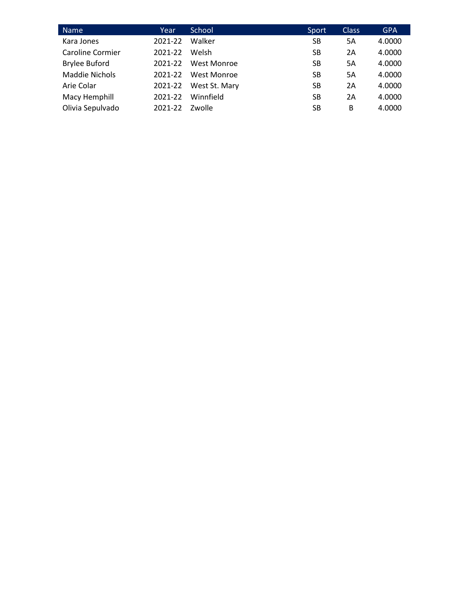| <b>Name</b>             | Year    | School        | Sport     | <b>Class</b> | <b>GPA</b> |
|-------------------------|---------|---------------|-----------|--------------|------------|
| Kara Jones              | 2021-22 | Walker        | SB        | 5A           | 4.0000     |
| <b>Caroline Cormier</b> | 2021-22 | Welsh         | SB        | 2A           | 4.0000     |
| <b>Brylee Buford</b>    | 2021-22 | West Monroe   | SB        | 5Α           | 4.0000     |
| <b>Maddie Nichols</b>   | 2021-22 | West Monroe   | SB        | 5A           | 4.0000     |
| Arie Colar              | 2021-22 | West St. Mary | SB        | 2A           | 4.0000     |
| Macy Hemphill           | 2021-22 | Winnfield     | SB        | 2A           | 4.0000     |
| Olivia Sepulvado        | 2021-22 | Zwolle        | <b>SB</b> | B            | 4.0000     |